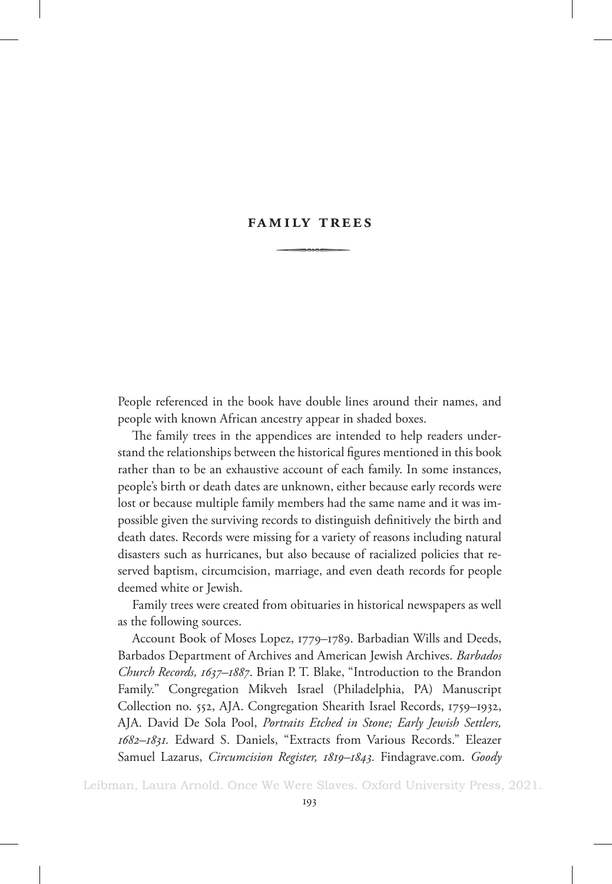## **Family Trees**  $\begin{array}{c}\n\hline\n\hline\n\hline\n\end{array}$

People referenced in the book have double lines around their names, and people with known African ancestry appear in shaded boxes.

The family trees in the appendices are intended to help readers understand the relationships between the historical figures mentioned in this book rather than to be an exhaustive account of each family. In some instances, people's birth or death dates are unknown, either because early records were lost or because multiple family members had the same name and it was impossible given the surviving records to distinguish definitively the birth and death dates. Records were missing for a variety of reasons including natural disasters such as hurricanes, but also because of racialized policies that reserved baptism, circumcision, marriage, and even death records for people deemed white or Jewish.

Family trees were created from obituaries in historical newspapers as well as the following sources.

Account Book of Moses Lopez, 1779–1789. Barbadian Wills and Deeds, Barbados Department of Archives and American Jewish Archives. *Barbados Church Records, 1637–1887*. Brian P. T. Blake, "Introduction to the Brandon Family." Congregation Mikveh Israel (Philadelphia, PA) Manuscript Collection no. 552, AJA. Congregation Shearith Israel Records, 1759–1932, AJA. David De Sola Pool, *Portraits Etched in Stone; Early Jewish Settlers, 1682–1831.* Edward S. Daniels, "Extracts from Various Records." Eleazer Samuel Lazarus, *Circumcision Register, 1819–1843.* Findagrave.com. *Goody*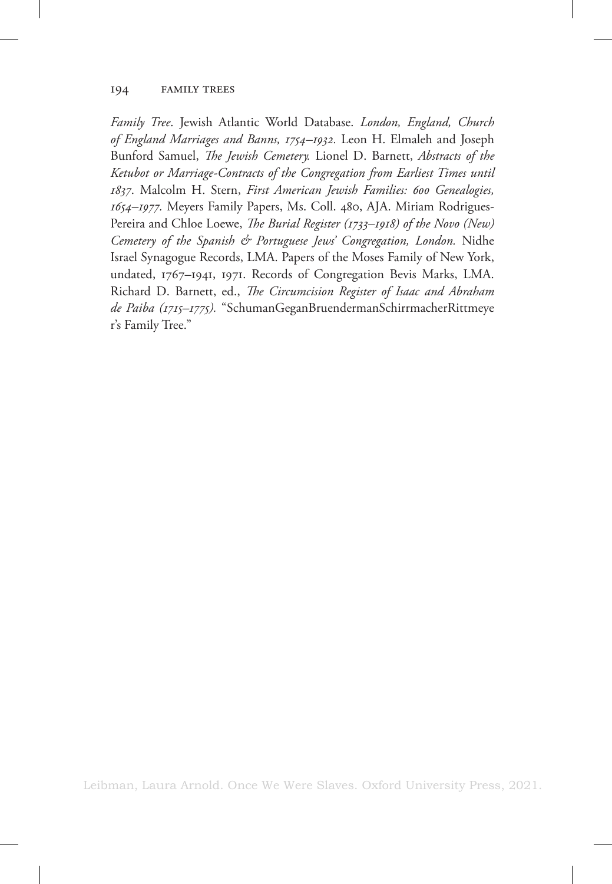*Family Tree*. Jewish Atlantic World Database. *London, England, Church of England Marriages and Banns, 1754–1932.* Leon H. Elmaleh and Joseph Bunford Samuel, *The Jewish Cemetery.* Lionel D. Barnett, *Abstracts of the Ketubot or Marriage-Contracts of the Congregation from Earliest Times until 1837*. Malcolm H. Stern, *First American Jewish Families: 600 Genealogies, 1654–1977.* Meyers Family Papers, Ms. Coll. 480, AJA. Miriam Rodrigues-Pereira and Chloe Loewe, *The Burial Register (1733–1918) of the Novo (New) Cemetery of the Spanish & Portuguese Jews' Congregation, London.* Nidhe Israel Synagogue Records, LMA. Papers of the Moses Family of New York, undated, 1767–1941, 1971. Records of Congregation Bevis Marks, LMA. Richard D. Barnett, ed., *The Circumcision Register of Isaac and Abraham de Paiba (1715–1775).* "SchumanGeganBruendermanSchirrmacherRittmeye r's Family Tree."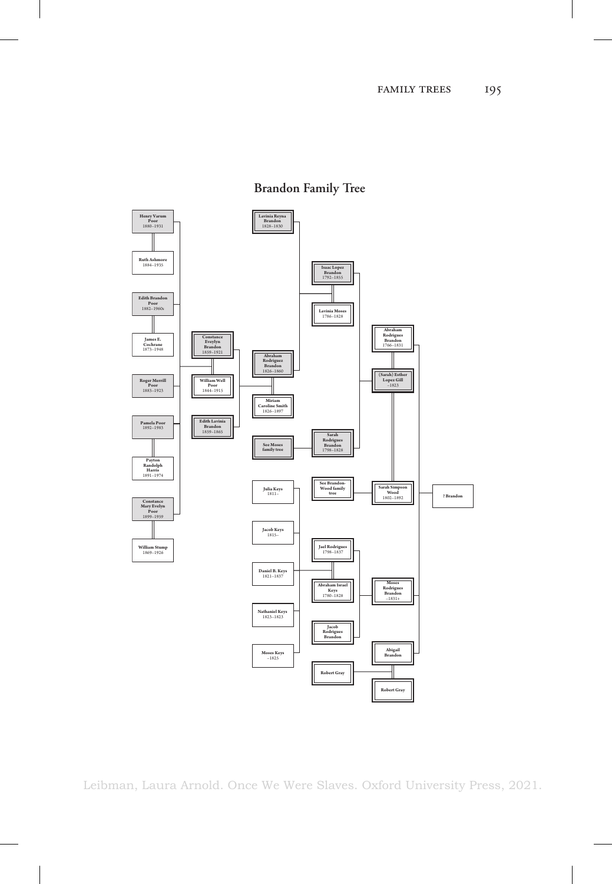

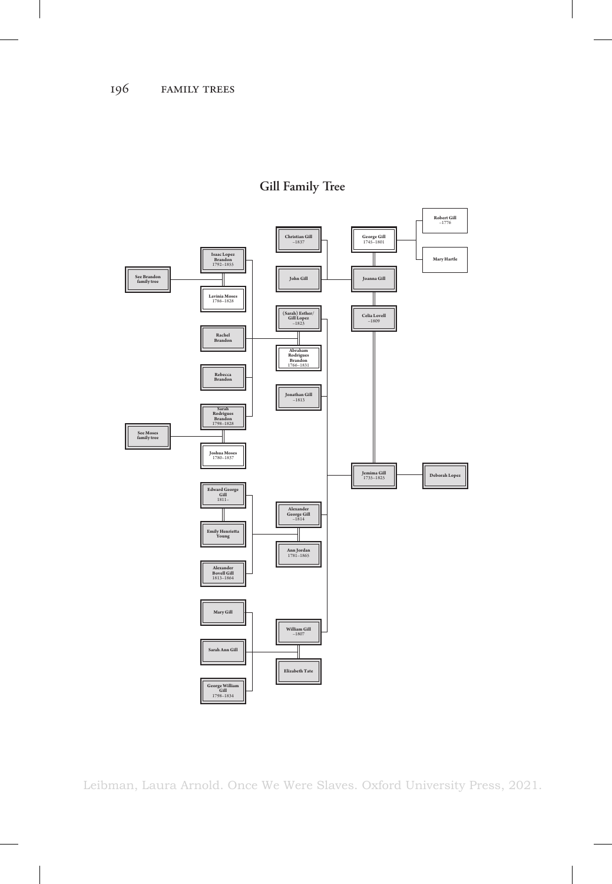

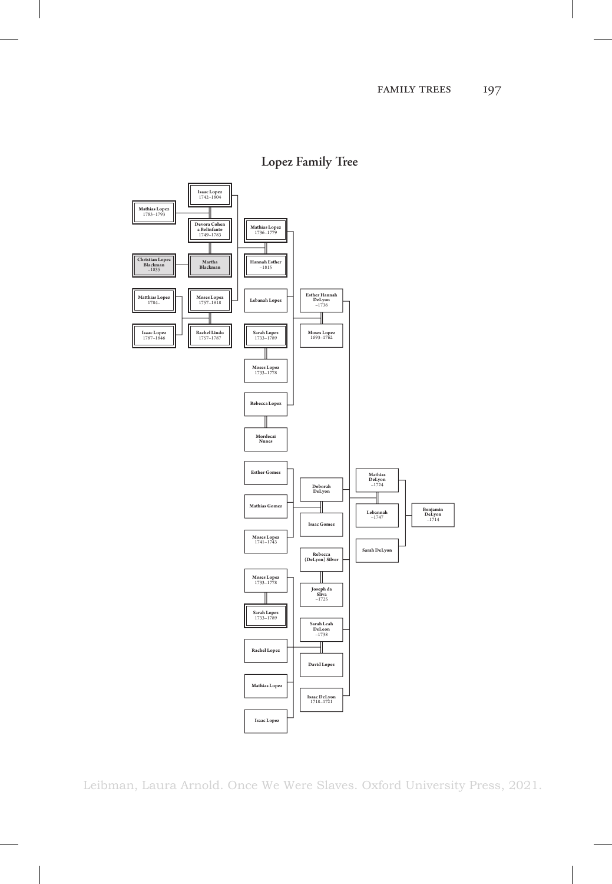

**Lopez Family Tree**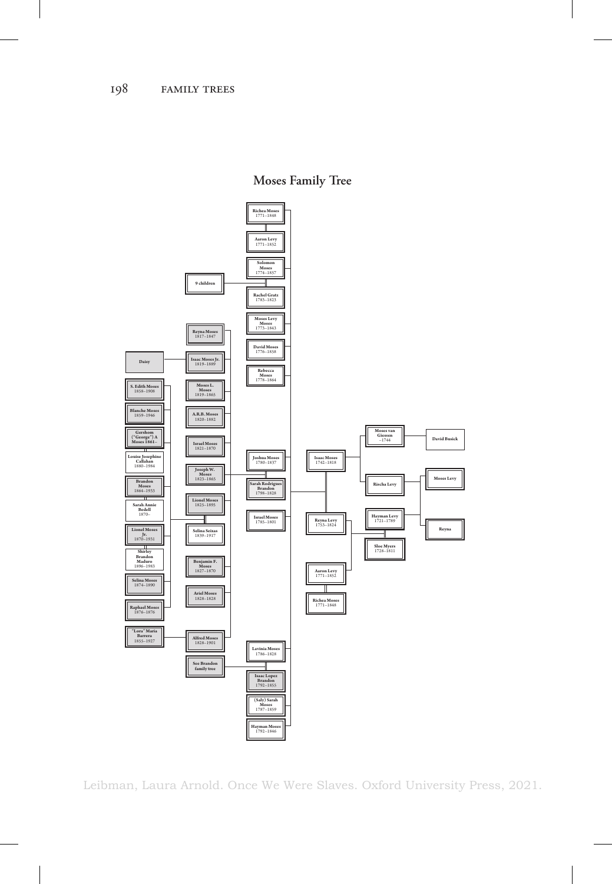**Moses Family Tree**

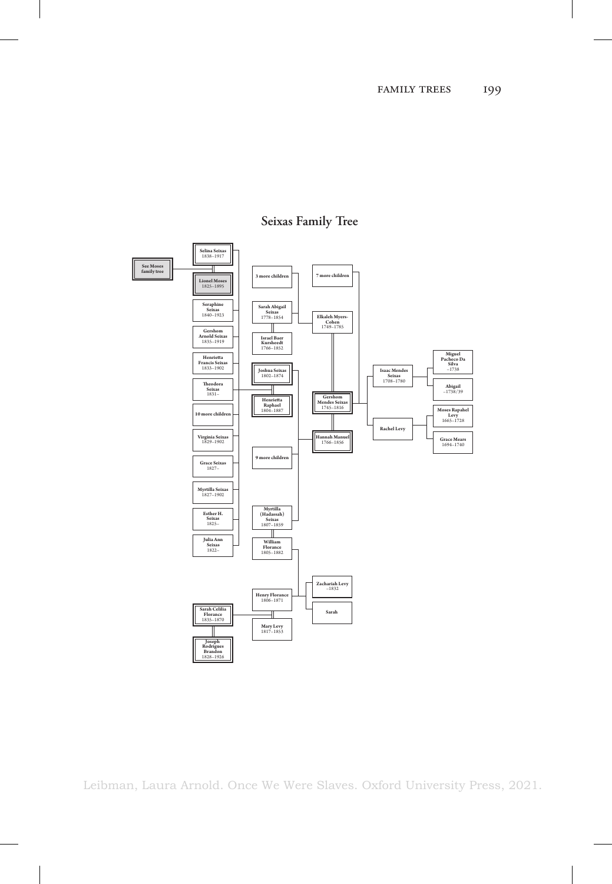

## **Seixas Family Tree**